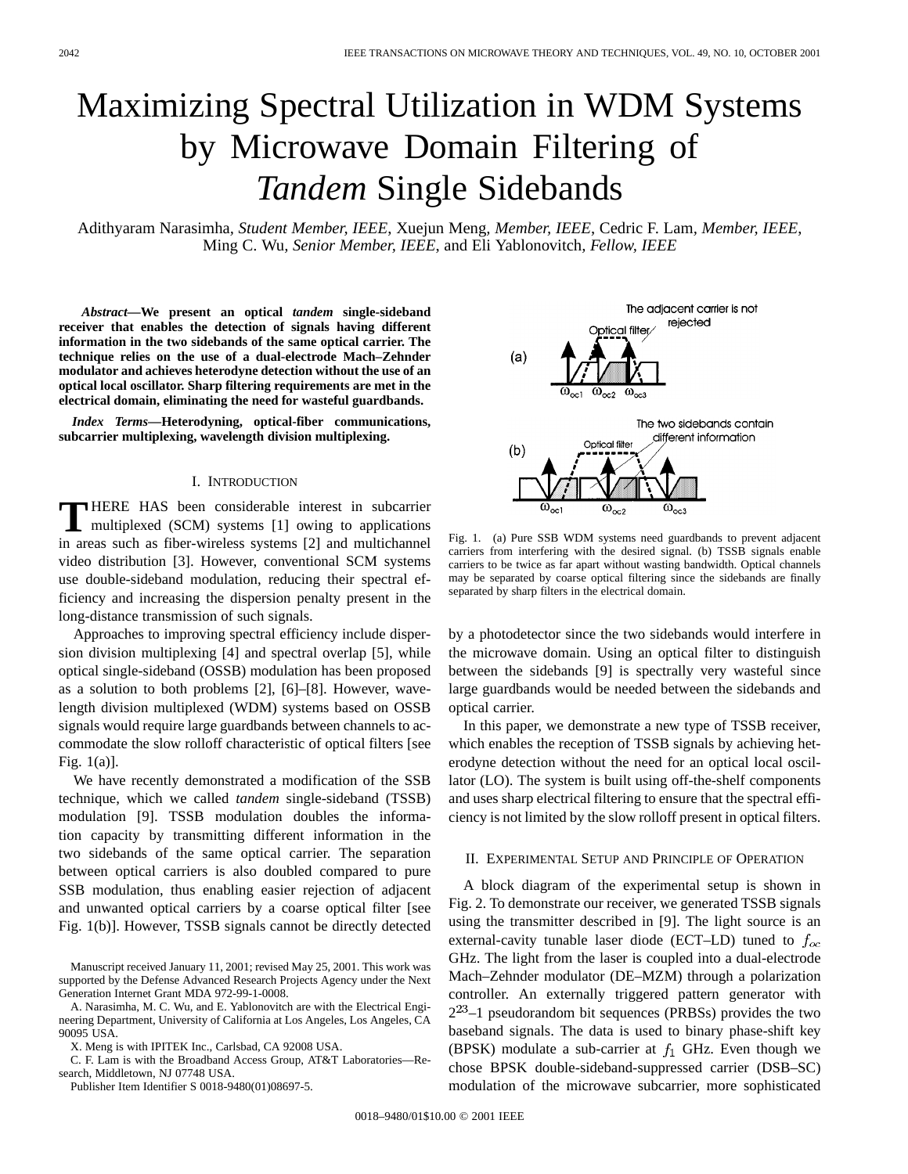# Maximizing Spectral Utilization in WDM Systems by Microwave Domain Filtering of *Tandem* Single Sidebands

Adithyaram Narasimha*, Student Member, IEEE*, Xuejun Meng*, Member, IEEE*, Cedric F. Lam*, Member, IEEE*, Ming C. Wu*, Senior Member, IEEE*, and Eli Yablonovitch*, Fellow, IEEE*

*Abstract—***We present an optical** *tandem* **single-sideband receiver that enables the detection of signals having different information in the two sidebands of the same optical carrier. The technique relies on the use of a dual-electrode Mach–Zehnder modulator and achieves heterodyne detection without the use of an optical local oscillator. Sharp filtering requirements are met in the electrical domain, eliminating the need for wasteful guardbands.**

*Index Terms—***Heterodyning, optical-fiber communications, subcarrier multiplexing, wavelength division multiplexing.**

## I. INTRODUCTION

**T** HERE HAS been considerable interest in subcarrier multiplexed (SCM) systems [1] owing to applications in areas such as fiber-wireless systems [2] and multichannel video distribution [3]. However, conventional SCM systems use double-sideband modulation, reducing their spectral efficiency and increasing the dispersion penalty present in the long-distance transmission of such signals.

Approaches to improving spectral efficiency include dispersion division multiplexing [4] and spectral overlap [5], while optical single-sideband (OSSB) modulation has been proposed as a solution to both problems [2], [6]–[8]. However, wavelength division multiplexed (WDM) systems based on OSSB signals would require large guardbands between channels to accommodate the slow rolloff characteristic of optical filters [see Fig. 1(a)].

We have recently demonstrated a modification of the SSB technique, which we called *tandem* single-sideband (TSSB) modulation [9]. TSSB modulation doubles the information capacity by transmitting different information in the two sidebands of the same optical carrier. The separation between optical carriers is also doubled compared to pure SSB modulation, thus enabling easier rejection of adjacent and unwanted optical carriers by a coarse optical filter [see Fig. 1(b)]. However, TSSB signals cannot be directly detected

Manuscript received January 11, 2001; revised May 25, 2001. This work was supported by the Defense Advanced Research Projects Agency under the Next Generation Internet Grant MDA 972-99-1-0008.

A. Narasimha, M. C. Wu, and E. Yablonovitch are with the Electrical Engineering Department, University of California at Los Angeles, Los Angeles, CA 90095 USA.

X. Meng is with IPITEK Inc., Carlsbad, CA 92008 USA.

C. F. Lam is with the Broadband Access Group, AT&T Laboratories—Research, Middletown, NJ 07748 USA.

Publisher Item Identifier S 0018-9480(01)08697-5.

The adjacent carrier is not rejected **ptical filter**  $(a)$ The two sidebands contain different information Optical filter  $(b)$  $\overline{\omega_{\infty 2}}$ 

Fig. 1. (a) Pure SSB WDM systems need guardbands to prevent adjacent carriers from interfering with the desired signal. (b) TSSB signals enable carriers to be twice as far apart without wasting bandwidth. Optical channels may be separated by coarse optical filtering since the sidebands are finally separated by sharp filters in the electrical domain.

by a photodetector since the two sidebands would interfere in the microwave domain. Using an optical filter to distinguish between the sidebands [9] is spectrally very wasteful since large guardbands would be needed between the sidebands and optical carrier.

In this paper, we demonstrate a new type of TSSB receiver, which enables the reception of TSSB signals by achieving heterodyne detection without the need for an optical local oscillator (LO). The system is built using off-the-shelf components and uses sharp electrical filtering to ensure that the spectral efficiency is not limited by the slow rolloff present in optical filters.

### II. EXPERIMENTAL SETUP AND PRINCIPLE OF OPERATION

A block diagram of the experimental setup is shown in Fig. 2. To demonstrate our receiver, we generated TSSB signals using the transmitter described in [9]. The light source is an external-cavity tunable laser diode (ECT–LD) tuned to  $f_{oc}$ GHz. The light from the laser is coupled into a dual-electrode Mach–Zehnder modulator (DE–MZM) through a polarization controller. An externally triggered pattern generator with  $2^{23}$ –1 pseudorandom bit sequences (PRBSs) provides the two baseband signals. The data is used to binary phase-shift key (BPSK) modulate a sub-carrier at  $f_1$  GHz. Even though we chose BPSK double-sideband-suppressed carrier (DSB–SC) modulation of the microwave subcarrier, more sophisticated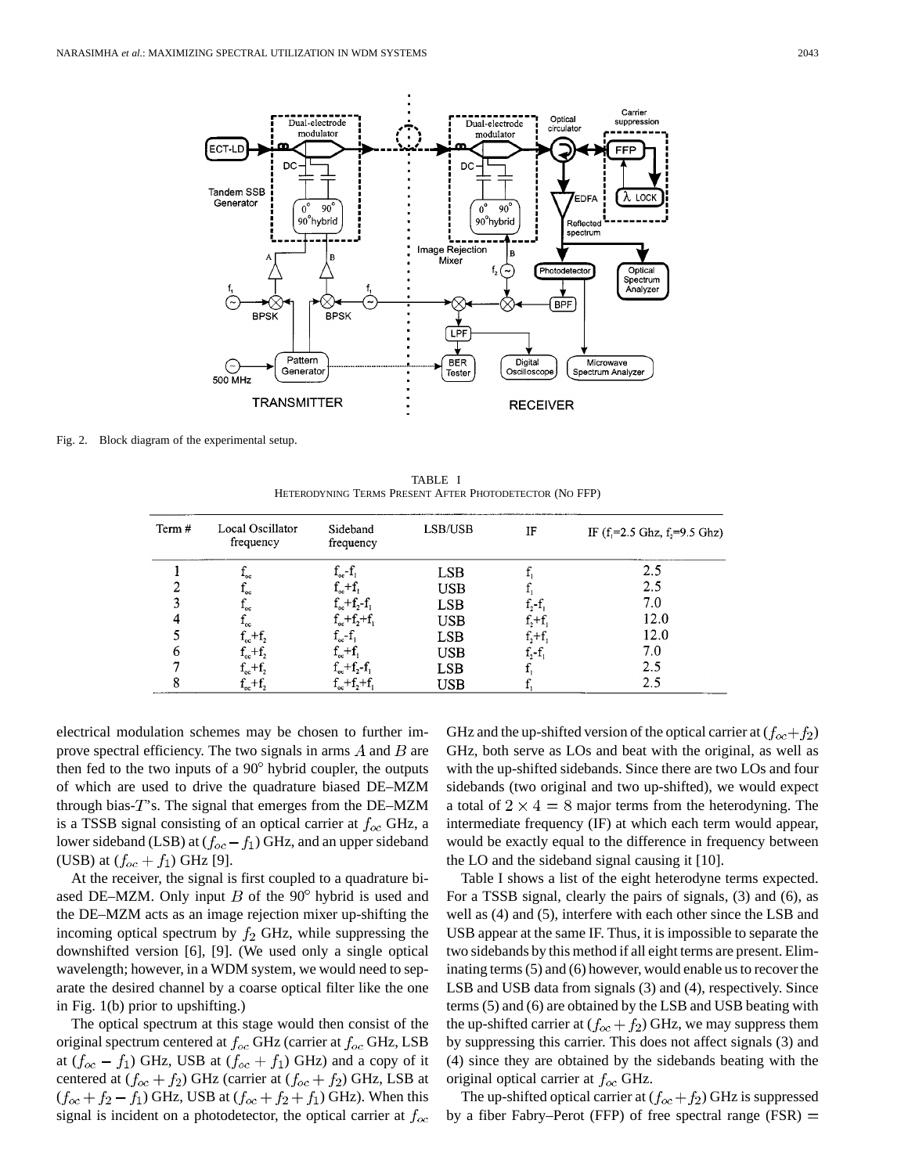

Fig. 2. Block diagram of the experimental setup.

TABLE I HETERODYNING TERMS PRESENT AFTER PHOTODETECTOR (NO FFP)

| Term # | Local Oscillator<br>frequency | Sideband<br>frequency    | LSB/USB    | IF          | IF $(f_1=2.5 \text{ Ghz}, f_2=9.5 \text{ Ghz})$ |
|--------|-------------------------------|--------------------------|------------|-------------|-------------------------------------------------|
|        | -oc                           | $f_{oc} - f_1$           | <b>LSB</b> |             | 2.5                                             |
|        | -oc                           | $f_{oc}+f_{n}$           | USB        |             | 2.5                                             |
|        | ٠oc                           | $f_{oc} + f_{2} - f_{1}$ | <b>LSB</b> | $f_2 - f_1$ | 7.0                                             |
|        | -oc                           | $f_{oc}+f_{2}+f_{1}$     | <b>USB</b> | $f_2+f_1$   | 12.0                                            |
|        | $f_{oc} + f_{2}$              | $f_{oc} - f_{1}$         | <b>LSB</b> | $f_2+f_1$   | 12.0                                            |
|        | $f_{oc}+f_{2}$                | $f_{oc} + f$             | <b>USB</b> | $f_2 - f_1$ | 7.0                                             |
|        | $f_{oc}+f_{2}$                | $f_{oc}+f_{2}-f_{1}$     | <b>LSB</b> |             | 2.5                                             |
|        | $f_{oc}+f_{2}$                | $f_{oc}+f_{2}+f_{1}$     | USB        |             | 2.5                                             |

electrical modulation schemes may be chosen to further improve spectral efficiency. The two signals in arms  $A$  and  $B$  are then fed to the two inputs of a  $90^\circ$  hybrid coupler, the outputs of which are used to drive the quadrature biased DE–MZM through bias- $T$ 's. The signal that emerges from the DE–MZM is a TSSB signal consisting of an optical carrier at  $f_{oc}$  GHz, a lower sideband (LSB) at  $(f_{oc} - f_1)$  GHz, and an upper sideband (USB) at  $(f_{oc} + f_1)$  GHz [9].

At the receiver, the signal is first coupled to a quadrature biased DE–MZM. Only input  $B$  of the 90 $\degree$  hybrid is used and the DE–MZM acts as an image rejection mixer up-shifting the incoming optical spectrum by  $f_2$  GHz, while suppressing the downshifted version [6], [9]. (We used only a single optical wavelength; however, in a WDM system, we would need to separate the desired channel by a coarse optical filter like the one in Fig. 1(b) prior to upshifting.)

The optical spectrum at this stage would then consist of the original spectrum centered at  $f_{oc}$  GHz (carrier at  $f_{oc}$  GHz, LSB at  $(f_{oc} - f_1)$  GHz, USB at  $(f_{oc} + f_1)$  GHz) and a copy of it centered at  $(f_{oc} + f_2)$  GHz (carrier at  $(f_{oc} + f_2)$  GHz, LSB at  $(f_{oc} + f_2 - f_1)$  GHz, USB at  $(f_{oc} + f_2 + f_1)$  GHz). When this signal is incident on a photodetector, the optical carrier at  $f_{oc}$  GHz and the up-shifted version of the optical carrier at  $(f_{oc}+f_2)$ GHz, both serve as LOs and beat with the original, as well as with the up-shifted sidebands. Since there are two LOs and four sidebands (two original and two up-shifted), we would expect a total of  $2 \times 4 = 8$  major terms from the heterodyning. The intermediate frequency (IF) at which each term would appear, would be exactly equal to the difference in frequency between the LO and the sideband signal causing it [10].

Table I shows a list of the eight heterodyne terms expected. For a TSSB signal, clearly the pairs of signals, (3) and (6), as well as (4) and (5), interfere with each other since the LSB and USB appear at the same IF. Thus, it is impossible to separate the two sidebands by this method if all eight terms are present. Eliminating terms (5) and (6) however, would enable us to recover the LSB and USB data from signals (3) and (4), respectively. Since terms (5) and (6) are obtained by the LSB and USB beating with the up-shifted carrier at  $(f_{oc} + f_2)$  GHz, we may suppress them by suppressing this carrier. This does not affect signals (3) and (4) since they are obtained by the sidebands beating with the original optical carrier at  $f_{oc}$  GHz.

The up-shifted optical carrier at  $(f_{oc}+f_2)$  GHz is suppressed by a fiber Fabry–Perot (FFP) of free spectral range (FSR)  $=$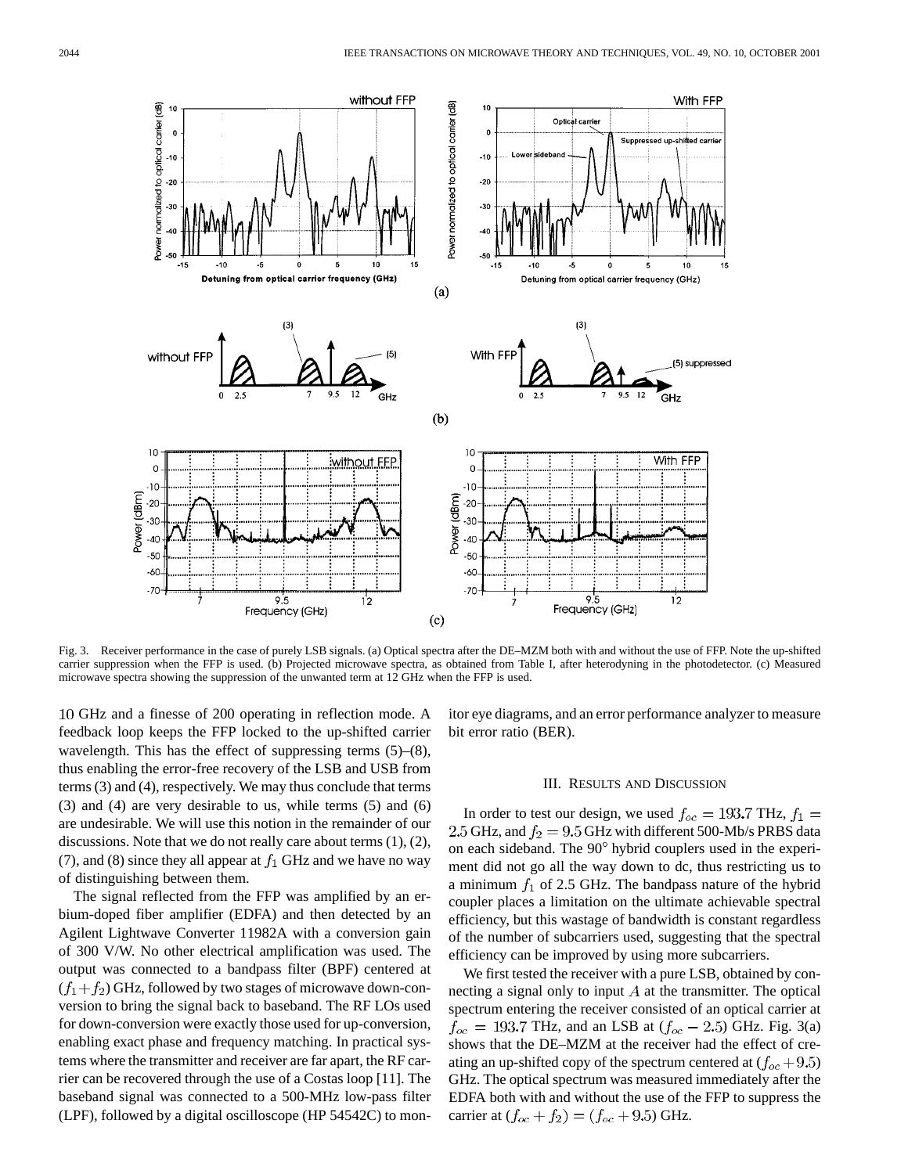

Fig. 3. Receiver performance in the case of purely LSB signals. (a) Optical spectra after the DE–MZM both with and without the use of FFP. Note the up-shifted carrier suppression when the FFP is used. (b) Projected microwave spectra, as obtained from Table I, after heterodyning in the photodetector. (c) Measured microwave spectra showing the suppression of the unwanted term at 12 GHz when the FFP is used.

GHz and a finesse of 200 operating in reflection mode. A feedback loop keeps the FFP locked to the up-shifted carrier wavelength. This has the effect of suppressing terms (5)–(8), thus enabling the error-free recovery of the LSB and USB from terms (3) and (4), respectively. We may thus conclude that terms (3) and (4) are very desirable to us, while terms (5) and (6) are undesirable. We will use this notion in the remainder of our discussions. Note that we do not really care about terms (1), (2), (7), and (8) since they all appear at  $f_1$  GHz and we have no way of distinguishing between them.

The signal reflected from the FFP was amplified by an erbium-doped fiber amplifier (EDFA) and then detected by an Agilent Lightwave Converter 11982A with a conversion gain of 300 V/W. No other electrical amplification was used. The output was connected to a bandpass filter (BPF) centered at  $(f_1 + f_2)$  GHz, followed by two stages of microwave down-conversion to bring the signal back to baseband. The RF LOs used for down-conversion were exactly those used for up-conversion, enabling exact phase and frequency matching. In practical systems where the transmitter and receiver are far apart, the RF carrier can be recovered through the use of a Costas loop [11]. The baseband signal was connected to a 500-MHz low-pass filter (LPF), followed by a digital oscilloscope (HP 54542C) to monitor eye diagrams, and an error performance analyzer to measure bit error ratio (BER).

#### III. RESULTS AND DISCUSSION

In order to test our design, we used  $f_{oc} = 193.7$  THz,  $f_1 =$ 2.5 GHz, and  $f_2 = 9.5$  GHz with different 500-Mb/s PRBS data on each sideband. The  $90^\circ$  hybrid couplers used in the experiment did not go all the way down to dc, thus restricting us to a minimum  $f_1$  of 2.5 GHz. The bandpass nature of the hybrid coupler places a limitation on the ultimate achievable spectral efficiency, but this wastage of bandwidth is constant regardless of the number of subcarriers used, suggesting that the spectral efficiency can be improved by using more subcarriers.

We first tested the receiver with a pure LSB, obtained by connecting a signal only to input  $A$  at the transmitter. The optical spectrum entering the receiver consisted of an optical carrier at  $f_{oc} = 193.7$  THz, and an LSB at  $(f_{oc} - 2.5)$  GHz. Fig. 3(a) shows that the DE–MZM at the receiver had the effect of creating an up-shifted copy of the spectrum centered at  $(f_{oc} + 9.5)$ GHz. The optical spectrum was measured immediately after the EDFA both with and without the use of the FFP to suppress the carrier at  $(f_{oc} + f_2) = (f_{oc} + 9.5)$  GHz.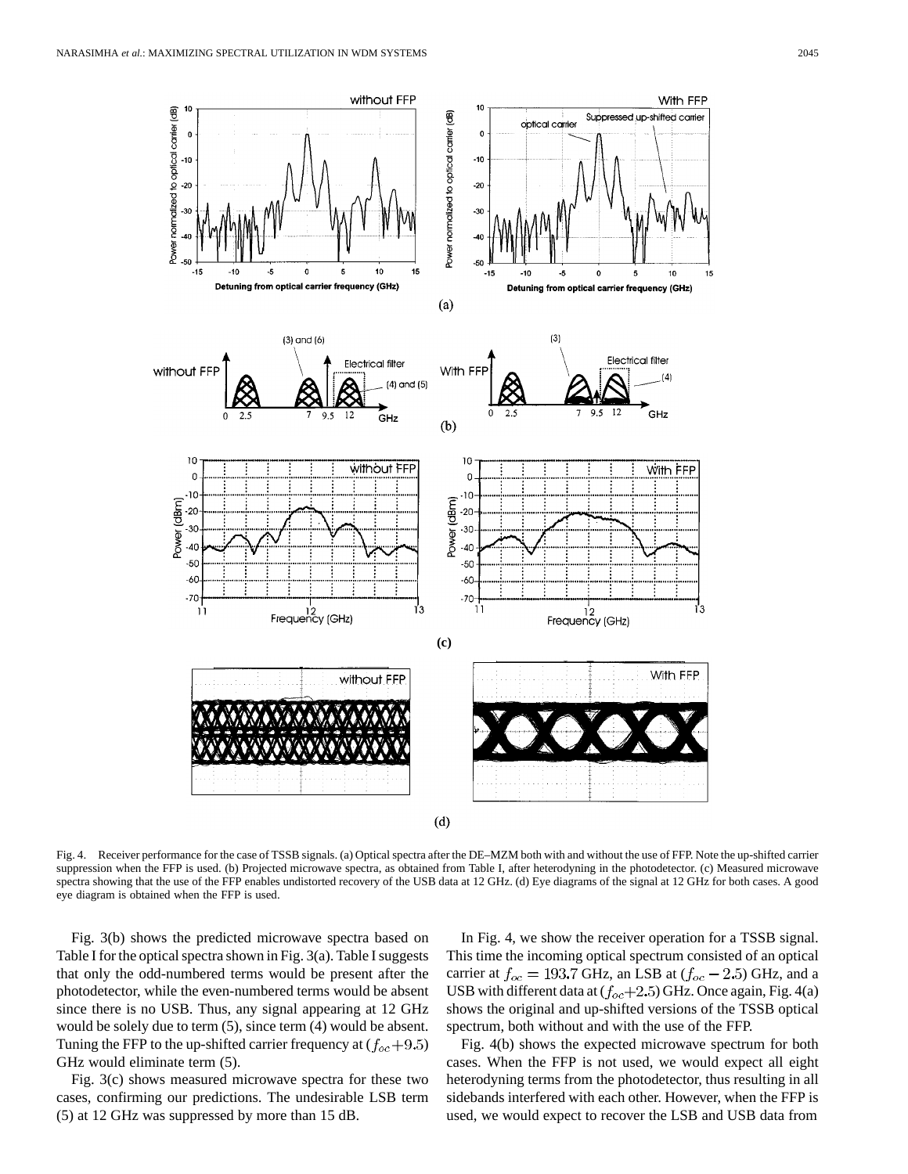

Fig. 4. Receiver performance for the case of TSSB signals. (a) Optical spectra after the DE–MZM both with and without the use of FFP. Note the up-shifted carrier suppression when the FFP is used. (b) Projected microwave spectra, as obtained from Table I, after heterodyning in the photodetector. (c) Measured microwave spectra showing that the use of the FFP enables undistorted recovery of the USB data at 12 GHz. (d) Eye diagrams of the signal at 12 GHz for both cases. A good eye diagram is obtained when the FFP is used.

Fig. 3(b) shows the predicted microwave spectra based on Table I for the optical spectra shown in Fig. 3(a). Table I suggests that only the odd-numbered terms would be present after the photodetector, while the even-numbered terms would be absent since there is no USB. Thus, any signal appearing at 12 GHz would be solely due to term (5), since term (4) would be absent. Tuning the FFP to the up-shifted carrier frequency at  $(f_{oc} + 9.5)$ GHz would eliminate term (5).

Fig. 3(c) shows measured microwave spectra for these two cases, confirming our predictions. The undesirable LSB term (5) at 12 GHz was suppressed by more than 15 dB.

In Fig. 4, we show the receiver operation for a TSSB signal. This time the incoming optical spectrum consisted of an optical carrier at  $f_{oc} = 193.7$  GHz, an LSB at  $(f_{oc} - 2.5)$  GHz, and a USB with different data at  $(f_{oc}+2.5)$  GHz. Once again, Fig. 4(a) shows the original and up-shifted versions of the TSSB optical spectrum, both without and with the use of the FFP.

Fig. 4(b) shows the expected microwave spectrum for both cases. When the FFP is not used, we would expect all eight heterodyning terms from the photodetector, thus resulting in all sidebands interfered with each other. However, when the FFP is used, we would expect to recover the LSB and USB data from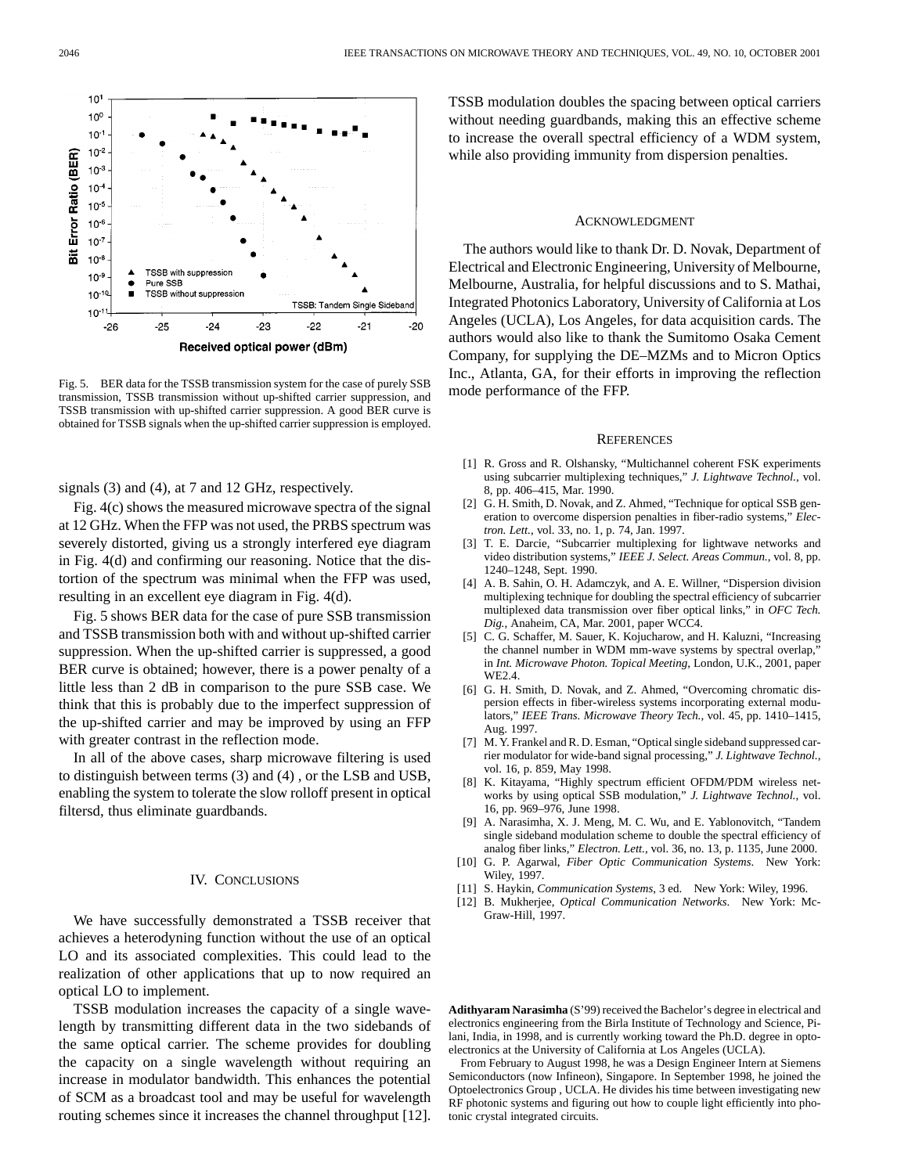

Fig. 5. BER data for the TSSB transmission system for the case of purely SSB transmission, TSSB transmission without up-shifted carrier suppression, and TSSB transmission with up-shifted carrier suppression. A good BER curve is obtained for TSSB signals when the up-shifted carrier suppression is employed.

signals (3) and (4), at 7 and 12 GHz, respectively.

Fig. 4(c) shows the measured microwave spectra of the signal at 12 GHz. When the FFP was not used, the PRBS spectrum was severely distorted, giving us a strongly interfered eye diagram in Fig. 4(d) and confirming our reasoning. Notice that the distortion of the spectrum was minimal when the FFP was used, resulting in an excellent eye diagram in Fig. 4(d).

Fig. 5 shows BER data for the case of pure SSB transmission and TSSB transmission both with and without up-shifted carrier suppression. When the up-shifted carrier is suppressed, a good BER curve is obtained; however, there is a power penalty of a little less than 2 dB in comparison to the pure SSB case. We think that this is probably due to the imperfect suppression of the up-shifted carrier and may be improved by using an FFP with greater contrast in the reflection mode.

In all of the above cases, sharp microwave filtering is used to distinguish between terms (3) and (4) , or the LSB and USB, enabling the system to tolerate the slow rolloff present in optical filtersd, thus eliminate guardbands.

## IV. CONCLUSIONS

We have successfully demonstrated a TSSB receiver that achieves a heterodyning function without the use of an optical LO and its associated complexities. This could lead to the realization of other applications that up to now required an optical LO to implement.

TSSB modulation increases the capacity of a single wavelength by transmitting different data in the two sidebands of the same optical carrier. The scheme provides for doubling the capacity on a single wavelength without requiring an increase in modulator bandwidth. This enhances the potential of SCM as a broadcast tool and may be useful for wavelength routing schemes since it increases the channel throughput [12].

TSSB modulation doubles the spacing between optical carriers without needing guardbands, making this an effective scheme to increase the overall spectral efficiency of a WDM system, while also providing immunity from dispersion penalties.

#### ACKNOWLEDGMENT

The authors would like to thank Dr. D. Novak, Department of Electrical and Electronic Engineering, University of Melbourne, Melbourne, Australia, for helpful discussions and to S. Mathai, Integrated Photonics Laboratory, University of California at Los Angeles (UCLA), Los Angeles, for data acquisition cards. The authors would also like to thank the Sumitomo Osaka Cement Company, for supplying the DE–MZMs and to Micron Optics Inc., Atlanta, GA, for their efforts in improving the reflection mode performance of the FFP.

#### **REFERENCES**

- [1] R. Gross and R. Olshansky, "Multichannel coherent FSK experiments using subcarrier multiplexing techniques," *J. Lightwave Technol.*, vol. 8, pp. 406–415, Mar. 1990.
- [2] G. H. Smith, D. Novak, and Z. Ahmed, "Technique for optical SSB generation to overcome dispersion penalties in fiber-radio systems," *Electron. Lett.*, vol. 33, no. 1, p. 74, Jan. 1997.
- [3] T. E. Darcie, "Subcarrier multiplexing for lightwave networks and video distribution systems," *IEEE J. Select. Areas Commun.*, vol. 8, pp. 1240–1248, Sept. 1990.
- [4] A. B. Sahin, O. H. Adamczyk, and A. E. Willner, "Dispersion division multiplexing technique for doubling the spectral efficiency of subcarrier multiplexed data transmission over fiber optical links," in *OFC Tech. Dig.*, Anaheim, CA, Mar. 2001, paper WCC4.
- [5] C. G. Schaffer, M. Sauer, K. Kojucharow, and H. Kaluzni, "Increasing the channel number in WDM mm-wave systems by spectral overlap,' in *Int. Microwave Photon. Topical Meeting*, London, U.K., 2001, paper WE2.4.
- [6] G. H. Smith, D. Novak, and Z. Ahmed, "Overcoming chromatic dispersion effects in fiber-wireless systems incorporating external modulators," *IEEE Trans. Microwave Theory Tech.*, vol. 45, pp. 1410–1415, Aug. 1997.
- [7] M. Y. Frankel and R. D. Esman, "Optical single sideband suppressed carrier modulator for wide-band signal processing," *J. Lightwave Technol.*, vol. 16, p. 859, May 1998.
- [8] K. Kitayama, "Highly spectrum efficient OFDM/PDM wireless networks by using optical SSB modulation," *J. Lightwave Technol.*, vol. 16, pp. 969–976, June 1998.
- [9] A. Narasimha, X. J. Meng, M. C. Wu, and E. Yablonovitch, "Tandem single sideband modulation scheme to double the spectral efficiency of analog fiber links," *Electron. Lett.*, vol. 36, no. 13, p. 1135, June 2000.
- [10] G. P. Agarwal, *Fiber Optic Communication Systems*. New York: Wiley, 1997.
- [11] S. Haykin, *Communication Systems*, 3 ed. New York: Wiley, 1996.
- [12] B. Mukherjee, *Optical Communication Networks*. New York: Mc-Graw-Hill, 1997.

**Adithyaram Narasimha** (S'99) received the Bachelor's degree in electrical and electronics engineering from the Birla Institute of Technology and Science, Pilani, India, in 1998, and is currently working toward the Ph.D. degree in optoelectronics at the University of California at Los Angeles (UCLA).

From February to August 1998, he was a Design Engineer Intern at Siemens Semiconductors (now Infineon), Singapore. In September 1998, he joined the Optoelectronics Group , UCLA. He divides his time between investigating new RF photonic systems and figuring out how to couple light efficiently into photonic crystal integrated circuits.